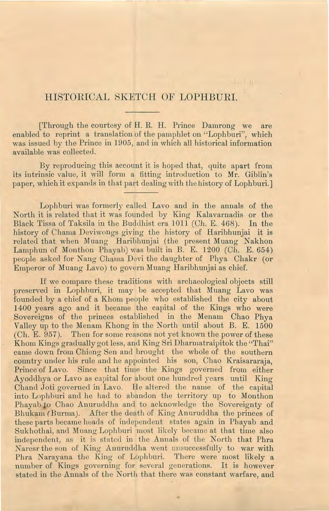## HISTORICAL SKETCH OF LOPHBURI.

[Through the courtesy of H. R. H. Prince Damrong we are enabled to reprint a translation of the pamphlet on "Lophburi", which was issued by the Prince in 1905, and in which all historical information available was collected.

By reproducing this account it is hoped that, quite apart from its intrinsic value, it will form a fitting introduction to Mr. Giblin's paper, which it expands in that part dealing with the history of Lophburi. J

Lophburi was formerly called Lavo and in the annals of the North it is related that it was founded by King Kalavarnadis or the Black Tissa of Taksila in the Buddhist era 1011 (Ch. E. 468). In the history of Chama Deviwongs giving the history of Haribhunjai it is related that when Muang Haribhunjai (the present Muang Nakhon Lamphun of Monthon Phayab) was built in B. E. 1200 (Ch. E. 654) people asked for Nang Chama Devi the daughter of Phya Chakr (or Emperor of Muang Lavo) *to* govern Muang Haribhunjai as chief.

If we compare these traditions with archaeological objects still preserved in Lophburi, it may be accepted that Muang Lavo was founded by a chief of a Khom people who established the city about 1400 years ago and it became the capital of the Kings who were Sovereigns of the princes established in the Menam Chao Phya Valley up to the Menam Khong in the North until about B. E. 1500 (Ch. E. 957). Then for some reasons not yet known the power of these Khom Kings gradually got less, and King Sri Dharmatraipitok the "Thai" came down from Chieng Sen and brought the whole of the southern country under his rule and he appointed his son, Chao Kraisararaja, Prince of Lavo. Since that time the Kings governed from either Ayoddhya or Lavo as capital for about one hundred years until King Chand Joti governed in Lavo. He altered the name of the capital into Lnpbhuri and he had to abandon the territory up *to* Monthon Phayab to Chao Anuruddha and to acknowledge the Sovereignty of Bhukam (Burma). After the death of King Anuruddha the princes of these parts became heads of independent states again in Phayab and Sukhotbai, and Muang Lophburi most lik ely became at that time also independent, as it is stated in the Annals of the North that Phra Naresr the son of King Anuruddha went unsuccessfully to war with Phra Narayana the King of Lophburi. There were most likely a number of Kings governing for several generations. It is however stated in the Annals of the North that there was constant warfare, and